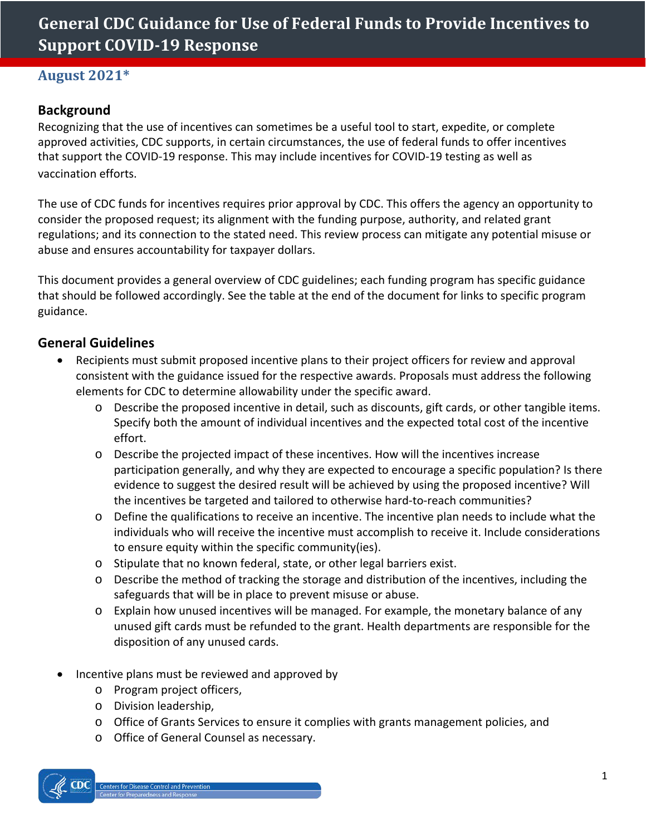# **General CDC Guidance for Use of Federal Funds to Provide Incentives to Support COVID-19 Response**

### **August 2021\***

## **Background**

Recognizing that the use of incentives can sometimes be a useful tool to start, expedite, or complete approved activities, CDC supports, in certain circumstances, the use of federal funds to offer incentives that support the COVID-19 response. This may include incentives for COVID-19 testing as well as vaccination efforts.

The use of CDC funds for incentives requires prior approval by CDC. This offers the agency an opportunity to consider the proposed request; its alignment with the funding purpose, authority, and related grant regulations; and its connection to the stated need. This review process can mitigate any potential misuse or abuse and ensures accountability for taxpayer dollars.

This document provides a general overview of CDC guidelines; each funding program has specific guidance that should be followed accordingly. See the table at the end of the document for links to specific program guidance.

#### **General Guidelines**

- Recipients must submit proposed incentive plans to their project officers for review and approval consistent with the guidance issued for the respective awards. Proposals must address the following elements for CDC to determine allowability under the specific award.
	- o Describe the proposed incentive in detail, such as discounts, gift cards, or other tangible items. Specify both the amount of individual incentives and the expected total cost of the incentive effort.
	- o Describe the projected impact of these incentives. How will the incentives increase participation generally, and why they are expected to encourage a specific population? Is there evidence to suggest the desired result will be achieved by using the proposed incentive? Will the incentives be targeted and tailored to otherwise hard-to-reach communities?
	- o Define the qualifications to receive an incentive. The incentive plan needs to include what the individuals who will receive the incentive must accomplish to receive it. Include considerations to ensure equity within the specific community(ies).
	- o Stipulate that no known federal, state, or other legal barriers exist.
	- o Describe the method of tracking the storage and distribution of the incentives, including the safeguards that will be in place to prevent misuse or abuse.
	- o Explain how unused incentives will be managed. For example, the monetary balance of any unused gift cards must be refunded to the grant. Health departments are responsible for the disposition of any unused cards.
- Incentive plans must be reviewed and approved by
	- o Program project officers,
	- o Division leadership,
	- o Office of Grants Services to ensure it complies with grants management policies, and
	- o Office of General Counsel as necessary.